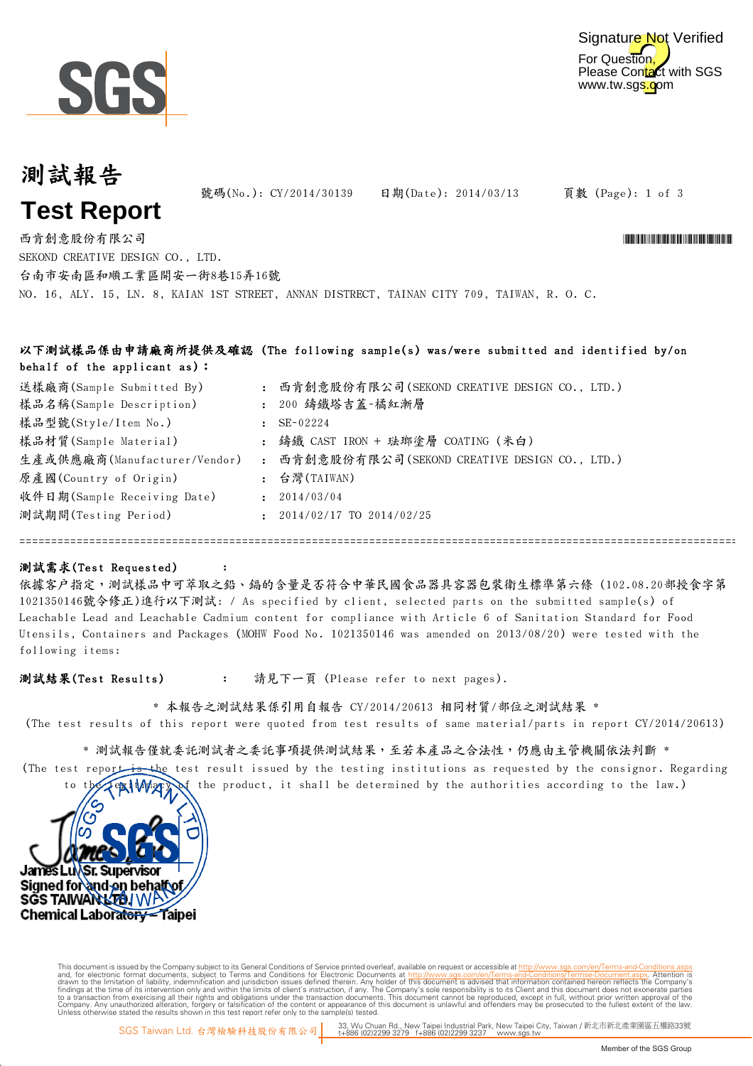



# 測試報告 **Test Report**

號碼(No.): CY/2014/30139 日期(Date): 2014/03/13

頁數 (Page): 1 of 3

NO. 16, ALY. 15, LN. 8, KAIAN 1ST STREET, ANNAN DISTRECT, TAINAN CITY 709, TAIWAN, R. O. C. 西肯創意股份有限公司 \*CY/2014 \*CY/2014 \*CY/2014 \*CY/2014 \*CY/2014 \*CY/2014 \*CY/2014 \*CY/2014 \*CY/2014 \*CY/2014 \*CY/2014 SEKOND CREATIVE DESIGN CO., LTD. 台南市安南區和順工業區開安一街8巷15弄16號

#### 以下測試樣品係由申請廠商所提供及確認 (The following sample(s) was/were submitted and identified by/on behalf of the applicant as):

| 送樣廠商(Sample Submitted By)    | 西肯創意股份有限公司(SEKOND CREATIVE DESIGN CO., LTD.)   |
|------------------------------|------------------------------------------------|
| 樣品名稱(Sample Description)     | : 200 鑄鐵塔吉蓋-橘紅漸層                               |
| 樣品型號(Style/Item No.)         | $SE-02224$                                     |
| 樣品材質(Sample Material)        | : 鑄鐵 CAST IRON + 珐瑯塗層 COATING (米白)             |
| 生產或供應廠商(Manufacturer/Vendor) | : 西肯創意股份有限公司(SEKOND CREATIVE DESIGN CO., LTD.) |
| 原產國(Country of Origin)       | : 台灣(TAIWAN)                                   |
| 收件日期(Sample Receiving Date)  | 2014/03/04                                     |
| 測試期間(Testing Period)         | 2014/02/17 TO 2014/02/25                       |

============================================================================================================================

#### 測試需求(Test Requested)

依據客戶指定,測試樣品中可萃取之鉛、鎘的含量是否符合中華民國食品器具容器包裝衛生標準第六條 (102.08.20部授食字第 1021350146號令修正)進行以下測試: / As specified by client, selected parts on the submitted sample(s) of Leachable Lead and Leachable Cadmium content for compliance with Article 6 of Sanitation Standard for Food Utensils, Containers and Packages (MOHW Food No. 1021350146 was amended on 2013/08/20) were tested with the following items:

: 測試結果(Test Results) 請見下一頁 (Please refer to next pages).

:

\* 本報告之測試結果係引用自報告 CY/2014/20613 相同材質/部位之測試結果 \* (The test results of this report were quoted from test results of same material/parts in report CY/2014/20613)

(The test report is the test result issued by the testing institutions as requested by the consignor. Regarding \* 測試報告僅就委託測試事項提供測試結果,至若本產品之合法性,仍應由主管機關依法判斷 \*

to the legitimacy of the product, it shall be determined by the authorities according to the law.)



Digitally signed by www.wmholetech. This document is issued by the Company subject to Terms and Conditions of Service printed overleaf, available on request or accessible at th<u>ttp://www.sgs.com/en/Terms-and-Conditions/Termse-Document as apx</u><br>and, for electr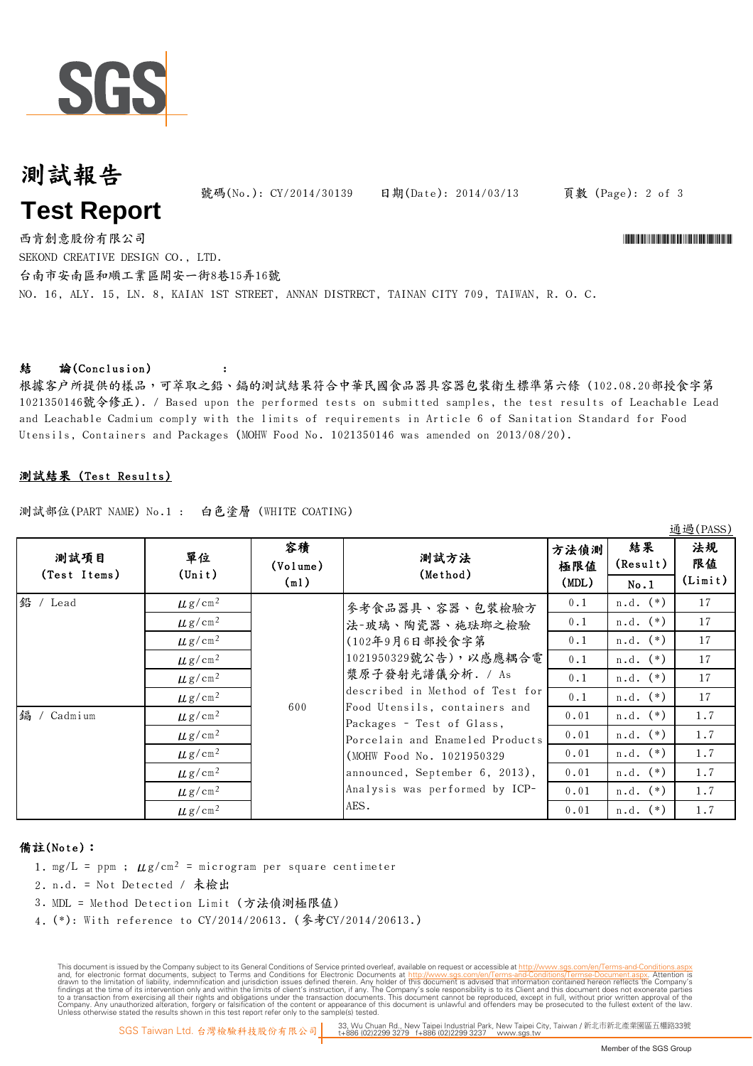

# 測試報告 **Test Report**

號碼(No.): CY/2014/30139 日期(Date): 2014/03/13

頁數 (Page): 2 of 3

1番1風(DACC)

NO. 16, ALY. 15, LN. 8, KAIAN 1ST STREET, ANNAN DISTRECT, TAINAN CITY 709, TAIWAN, R. O. C. 西肯創意股份有限公司 \*CY/2014 \*CY/2014 \*CY/2014 \*CY/2014 \*CY/2014 \*CY/2014 \*CY/2014 \*CY/2014 \*CY/2014 \*CY/2014 \*CY/2014 SEKOND CREATIVE DESIGN CO., LTD. 台南市安南區和順工業區開安一街8巷15弄16號

#### 結 論(Conclusion)

根據客戶所提供的樣品,可萃取之鉛、鎘的測試結果符合中華民國食品器具容器包裝衛生標準第六條 (102.08.20部授食字第 1021350146號令修正). / Based upon the performed tests on submitted samples, the test results of Leachable Lead and Leachable Cadmium comply with the limits of requirements in Article 6 of Sanitation Standard for Food Utensils, Containers and Packages (MOHW Food No. 1021350146 was amended on 2013/08/20).

#### 測試結果 (Test Results)

測試部位(PART NAME) No.1 : 白色塗層 (WHITE COATING)

:

| 測試項目<br>(Test Items) | 單位<br>$(\text{Unit})$   | 容積<br>(Volume) | 測試方法<br>(Method)                                                                                                                                                                                                                                                                                                                                | 方法偵測<br>極限値 | 結果<br>(Result) | 222(11100)<br>法規<br>限值 |
|----------------------|-------------------------|----------------|-------------------------------------------------------------------------------------------------------------------------------------------------------------------------------------------------------------------------------------------------------------------------------------------------------------------------------------------------|-------------|----------------|------------------------|
|                      |                         | (m1)           |                                                                                                                                                                                                                                                                                                                                                 | (MDL)       | No.1           | (Limit)                |
| 鉛 / Lead             | $\mu$ g/cm <sup>2</sup> | 600            | 參考食品器具、容器、包裝檢驗方<br>法-玻璃、陶瓷器、施珐瑯之檢驗<br>(102年9月6日部授食字第<br>1021950329號公告),以感應耦合電<br>漿原子發射光譜儀分析. / As<br>described in Method of Test for<br>Food Utensils, containers and<br>Packages - Test of Glass,<br>Porcelain and Enameled Products<br>(MOHW Food No. 1021950329)<br>announced, September 6, 2013),<br>Analysis was performed by ICP-<br>AES. | 0.1         | $n.d.$ $(*)$   | 17                     |
|                      | $\mu$ g/cm <sup>2</sup> |                |                                                                                                                                                                                                                                                                                                                                                 | 0.1         | $n.d.$ $(*)$   | 17                     |
|                      | $\mu$ g/cm <sup>2</sup> |                |                                                                                                                                                                                                                                                                                                                                                 | 0.1         | $n.d.$ $(*)$   | 17                     |
|                      | $\mu$ g/cm <sup>2</sup> |                |                                                                                                                                                                                                                                                                                                                                                 | 0.1         | $n.d.$ $(*)$   | 17                     |
|                      | $\mu$ g/cm <sup>2</sup> |                |                                                                                                                                                                                                                                                                                                                                                 | 0.1         | $n.d.$ $(*)$   | 17                     |
|                      | $\mu$ g/cm <sup>2</sup> |                |                                                                                                                                                                                                                                                                                                                                                 | 0.1         | $n.d.$ $(*)$   | 17                     |
| 鎘 /<br>Cadmium       | $\mu$ g/cm <sup>2</sup> |                |                                                                                                                                                                                                                                                                                                                                                 | 0.01        | $n.d.$ $(*)$   | 1.7                    |
|                      | $\mu$ g/cm <sup>2</sup> |                |                                                                                                                                                                                                                                                                                                                                                 | 0.01        | $n.d.$ $(*)$   | 1.7                    |
|                      | $\mu$ g/cm <sup>2</sup> |                |                                                                                                                                                                                                                                                                                                                                                 | 0.01        | $n.d.$ $(*)$   | 1.7                    |
|                      | $\mu$ g/cm <sup>2</sup> |                |                                                                                                                                                                                                                                                                                                                                                 | 0.01        | $n.d.$ $(*)$   | 1.7                    |
|                      | $\mu$ g/cm <sup>2</sup> |                |                                                                                                                                                                                                                                                                                                                                                 | 0.01        | $n.d.$ $(*)$   | 1.7                    |
|                      | $\mu$ g/cm <sup>2</sup> |                |                                                                                                                                                                                                                                                                                                                                                 | 0.01        | $n.d.$ $(*)$   | 1.7                    |

#### 備註(Note):

- 1. mg/L = ppm ;  $\mu$ g/cm<sup>2</sup> = microgram per square centimeter
- 2. n.d. = Not Detected / 未檢出
- 3. MDL = Method Detection Limit (方法偵測極限值)
- 4. (\*): With reference to CY/2014/20613. (參考CY/2014/20613.)

This document is issued by the Company subject to Terms and Conditions of Service printed overleaf, available on request or accessible at th<u>ttp://www.sgs.com/en/Terms-and-Conditions/Termse-Document as apx</u><br>and, for electr